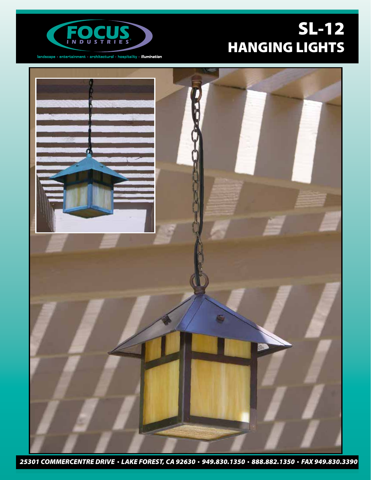



 $land \texttt{scale} \cdot \texttt{entertainment} \cdot \texttt{architectural} \cdot \texttt{hostality} \cdot \textit{illumination}$ 



*25301 COMMERCENTRE DRIVE LAKE FOREST, CA 92630 949.830.1350 888.882.1350 FAX 949.830.3390*